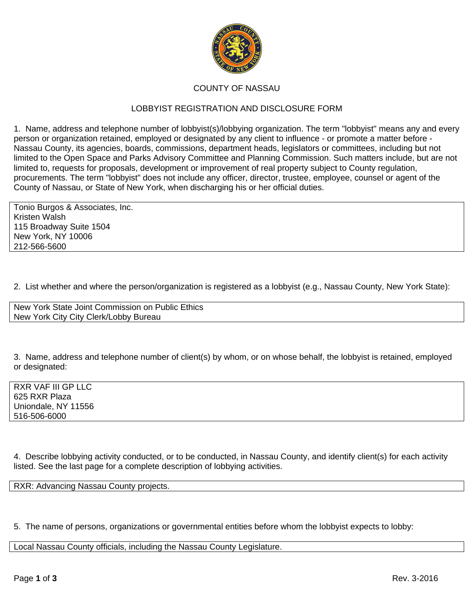

## COUNTY OF NASSAU

## LOBBYIST REGISTRATION AND DISCLOSURE FORM

1. Name, address and telephone number of lobbyist(s)/lobbying organization. The term "lobbyist" means any and every person or organization retained, employed or designated by any client to influence - or promote a matter before - Nassau County, its agencies, boards, commissions, department heads, legislators or committees, including but not limited to the Open Space and Parks Advisory Committee and Planning Commission. Such matters include, but are not limited to, requests for proposals, development or improvement of real property subject to County regulation, procurements. The term "lobbyist" does not include any officer, director, trustee, employee, counsel or agent of the County of Nassau, or State of New York, when discharging his or her official duties.

Tonio Burgos & Associates, Inc. Kristen Walsh 115 Broadway Suite 1504 New York, NY 10006 212-566-5600

2. List whether and where the person/organization is registered as a lobbyist (e.g., Nassau County, New York State):

New York State Joint Commission on Public Ethics New York City City Clerk/Lobby Bureau

3. Name, address and telephone number of client(s) by whom, or on whose behalf, the lobbyist is retained, employed or designated:

RXR VAF III GP LLC 625 RXR Plaza Uniondale, NY 11556 516-506-6000

4. Describe lobbying activity conducted, or to be conducted, in Nassau County, and identify client(s) for each activity listed. See the last page for a complete description of lobbying activities.

RXR: Advancing Nassau County projects.

5. The name of persons, organizations or governmental entities before whom the lobbyist expects to lobby:

Local Nassau County officials, including the Nassau County Legislature.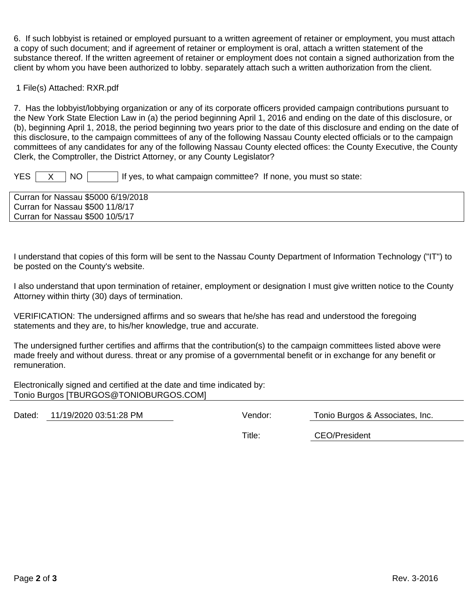6. If such lobbyist is retained or employed pursuant to a written agreement of retainer or employment, you must attach a copy of such document; and if agreement of retainer or employment is oral, attach a written statement of the substance thereof. If the written agreement of retainer or employment does not contain a signed authorization from the client by whom you have been authorized to lobby. separately attach such a written authorization from the client.

1 File(s) Attached: RXR.pdf

7. Has the lobbyist/lobbying organization or any of its corporate officers provided campaign contributions pursuant to the New York State Election Law in (a) the period beginning April 1, 2016 and ending on the date of this disclosure, or (b), beginning April 1, 2018, the period beginning two years prior to the date of this disclosure and ending on the date of this disclosure, to the campaign committees of any of the following Nassau County elected officials or to the campaign committees of any candidates for any of the following Nassau County elected offices: the County Executive, the County Clerk, the Comptroller, the District Attorney, or any County Legislator?

 $YES \mid X \mid NO \mid$  if yes, to what campaign committee? If none, you must so state:

Curran for Nassau \$5000 6/19/2018 Curran for Nassau \$500 11/8/17 Curran for Nassau \$500 10/5/17

I understand that copies of this form will be sent to the Nassau County Department of Information Technology ("IT") to be posted on the County's website.

I also understand that upon termination of retainer, employment or designation I must give written notice to the County Attorney within thirty (30) days of termination.

VERIFICATION: The undersigned affirms and so swears that he/she has read and understood the foregoing statements and they are, to his/her knowledge, true and accurate.

The undersigned further certifies and affirms that the contribution(s) to the campaign committees listed above were made freely and without duress. threat or any promise of a governmental benefit or in exchange for any benefit or remuneration.

Electronically signed and certified at the date and time indicated by: Tonio Burgos [TBURGOS@TONIOBURGOS.COM]

Dated: 11/19/2020 03:51:28 PM Vendor: Tonio Burgos & Associates, Inc.

Title: CEO/President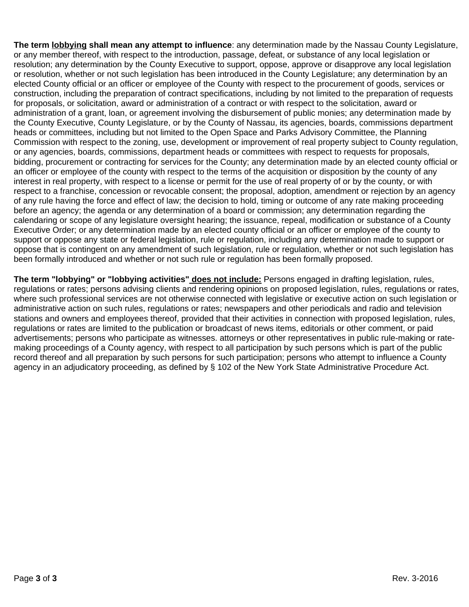**The term lobbying shall mean any attempt to influence**: any determination made by the Nassau County Legislature, or any member thereof, with respect to the introduction, passage, defeat, or substance of any local legislation or resolution; any determination by the County Executive to support, oppose, approve or disapprove any local legislation or resolution, whether or not such legislation has been introduced in the County Legislature; any determination by an elected County official or an officer or employee of the County with respect to the procurement of goods, services or construction, including the preparation of contract specifications, including by not limited to the preparation of requests for proposals, or solicitation, award or administration of a contract or with respect to the solicitation, award or administration of a grant, loan, or agreement involving the disbursement of public monies; any determination made by the County Executive, County Legislature, or by the County of Nassau, its agencies, boards, commissions department heads or committees, including but not limited to the Open Space and Parks Advisory Committee, the Planning Commission with respect to the zoning, use, development or improvement of real property subject to County regulation, or any agencies, boards, commissions, department heads or committees with respect to requests for proposals, bidding, procurement or contracting for services for the County; any determination made by an elected county official or an officer or employee of the county with respect to the terms of the acquisition or disposition by the county of any interest in real property, with respect to a license or permit for the use of real property of or by the county, or with respect to a franchise, concession or revocable consent; the proposal, adoption, amendment or rejection by an agency of any rule having the force and effect of law; the decision to hold, timing or outcome of any rate making proceeding before an agency; the agenda or any determination of a board or commission; any determination regarding the calendaring or scope of any legislature oversight hearing; the issuance, repeal, modification or substance of a County Executive Order; or any determination made by an elected county official or an officer or employee of the county to support or oppose any state or federal legislation, rule or regulation, including any determination made to support or oppose that is contingent on any amendment of such legislation, rule or regulation, whether or not such legislation has been formally introduced and whether or not such rule or regulation has been formally proposed.

**The term "lobbying" or "lobbying activities" does not include:** Persons engaged in drafting legislation, rules, regulations or rates; persons advising clients and rendering opinions on proposed legislation, rules, regulations or rates, where such professional services are not otherwise connected with legislative or executive action on such legislation or administrative action on such rules, regulations or rates; newspapers and other periodicals and radio and television stations and owners and employees thereof, provided that their activities in connection with proposed legislation, rules, regulations or rates are limited to the publication or broadcast of news items, editorials or other comment, or paid advertisements; persons who participate as witnesses. attorneys or other representatives in public rule-making or ratemaking proceedings of a County agency, with respect to all participation by such persons which is part of the public record thereof and all preparation by such persons for such participation; persons who attempt to influence a County agency in an adjudicatory proceeding, as defined by § 102 of the New York State Administrative Procedure Act.